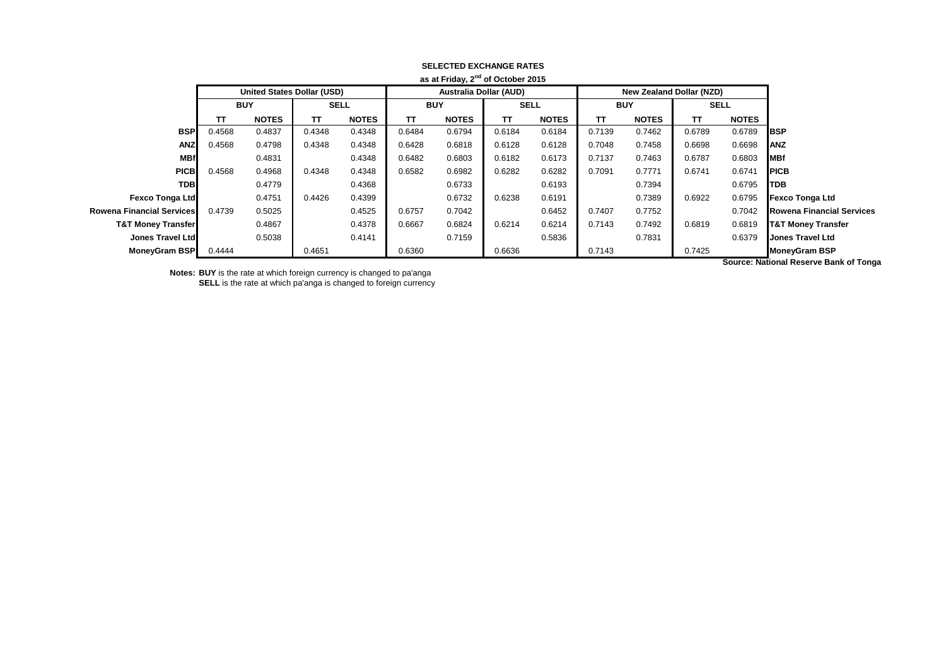|                               |                                   |              |             |              |                               | as at Friday, Z or October 2015 |             |              |            |                          |        |                      |                                  |
|-------------------------------|-----------------------------------|--------------|-------------|--------------|-------------------------------|---------------------------------|-------------|--------------|------------|--------------------------|--------|----------------------|----------------------------------|
|                               | <b>United States Dollar (USD)</b> |              |             |              | <b>Australia Dollar (AUD)</b> |                                 |             |              |            | New Zealand Dollar (NZD) |        |                      |                                  |
|                               | <b>BUY</b>                        |              | <b>SELL</b> |              | <b>BUY</b>                    |                                 | <b>SELL</b> |              | <b>BUY</b> |                          | SELL   |                      |                                  |
|                               | тτ                                | <b>NOTES</b> | тτ          | <b>NOTES</b> | TΤ                            | <b>NOTES</b>                    | TΤ          | <b>NOTES</b> | TΤ         | <b>NOTES</b>             | TΤ     | <b>NOTES</b>         |                                  |
| <b>BSP</b>                    | 0.4568                            | 0.4837       | 0.4348      | 0.4348       | 0.6484                        | 0.6794                          | 0.6184      | 0.6184       | 0.7139     | 0.7462                   | 0.6789 | 0.6789               | <b>BSP</b>                       |
| <b>ANZ</b>                    | 0.4568                            | 0.4798       | 0.4348      | 0.4348       | 0.6428                        | 0.6818                          | 0.6128      | 0.6128       | 0.7048     | 0.7458                   | 0.6698 | 0.6698               | <b>ANZ</b>                       |
| <b>MBf</b>                    |                                   | 0.4831       |             | 0.4348       | 0.6482                        | 0.6803                          | 0.6182      | 0.6173       | 0.7137     | 0.7463                   | 0.6787 | 0.6803               | MBf                              |
| <b>PICB</b>                   | 0.4568                            | 0.4968       | 0.4348      | 0.4348       | 0.6582                        | 0.6982                          | 0.6282      | 0.6282       | 0.7091     | 0.7771                   | 0.6741 | 0.6741               | <b>PICB</b>                      |
| <b>TDB</b>                    |                                   | 0.4779       |             | 0.4368       |                               | 0.6733                          |             | 0.6193       |            | 0.7394                   |        | 0.6795               | TDB                              |
| Fexco Tonga Ltd               |                                   | 0.4751       | 0.4426      | 0.4399       |                               | 0.6732                          | 0.6238      | 0.6191       |            | 0.7389                   | 0.6922 | 0.6795               | <b>Fexco Tonga Ltd</b>           |
| Rowena Financial Services     | 0.4739                            | 0.5025       |             | 0.4525       | 0.6757                        | 0.7042                          |             | 0.6452       | 0.7407     | 0.7752                   |        | 0.7042               | <b>Rowena Financial Services</b> |
| <b>T&amp;T Money Transfer</b> |                                   | 0.4867       |             | 0.4378       | 0.6667                        | 0.6824                          | 0.6214      | 0.6214       | 0.7143     | 0.7492                   | 0.6819 | 0.6819               | <b>T&amp;T Money Transfer</b>    |
| <b>Jones Travel Ltd</b>       |                                   | 0.5038       |             | 0.4141       |                               | 0.7159                          |             | 0.5836       |            | 0.7831                   |        | 0.6379               | <b>Jones Travel Ltd</b>          |
| <b>MoneyGram BSP</b>          | 0.4444                            |              | 0.4651      |              | 0.6360                        |                                 | 0.6636      |              | 0.7143     |                          | 0.7425 |                      | <b>MoneyGram BSP</b>             |
|                               |                                   |              |             |              |                               |                                 |             |              |            |                          |        | $\sim$ $\sim$ $\sim$ |                                  |

#### **SELECTED EXCHANGE RATES as at Friday, 2nd of October 2015**

**Notes: BUY** is the rate at which foreign currency is changed to pa'anga **SELL** is the rate at which pa'anga is changed to foreign currency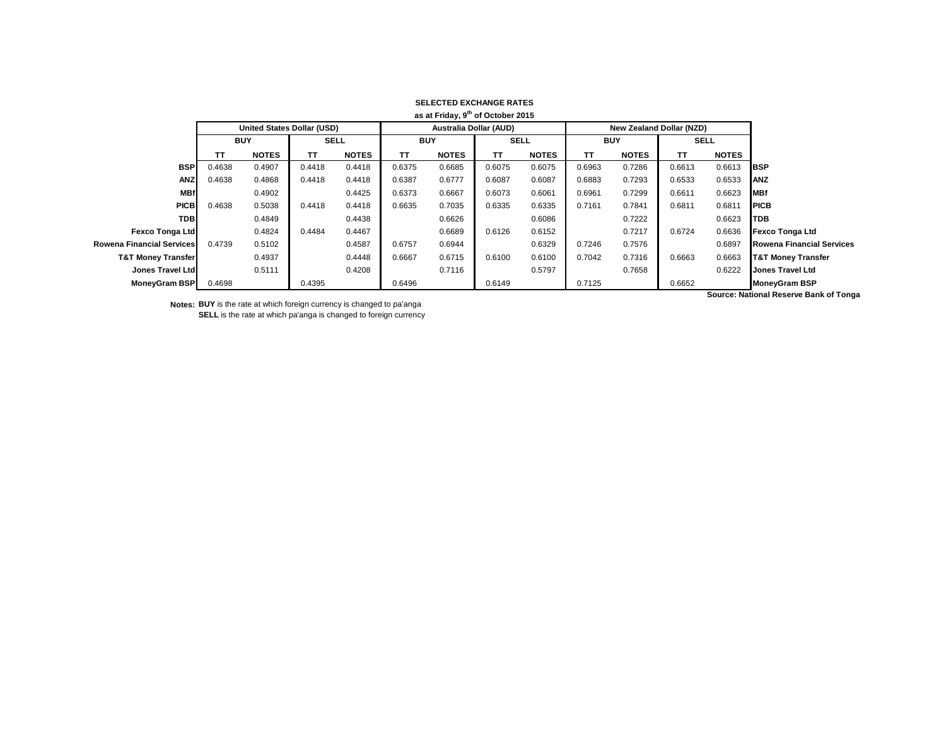|                               |                                   |              |             |              |                               | as at Friday, 9 <sup>th</sup> of October 2015 |             |              |            |                                 |             |              |                                       |
|-------------------------------|-----------------------------------|--------------|-------------|--------------|-------------------------------|-----------------------------------------------|-------------|--------------|------------|---------------------------------|-------------|--------------|---------------------------------------|
|                               | <b>United States Dollar (USD)</b> |              |             |              | <b>Australia Dollar (AUD)</b> |                                               |             |              |            | <b>New Zealand Dollar (NZD)</b> |             |              |                                       |
|                               | <b>BUY</b>                        |              | <b>SELL</b> |              | <b>BUY</b>                    |                                               | <b>SELL</b> |              | <b>BUY</b> |                                 | <b>SELL</b> |              |                                       |
|                               | TΤ                                | <b>NOTES</b> | TТ          | <b>NOTES</b> | ТΤ                            | <b>NOTES</b>                                  | TΤ          | <b>NOTES</b> | <b>TT</b>  | <b>NOTES</b>                    | TΤ          | <b>NOTES</b> |                                       |
| <b>BSP</b>                    | 0.4638                            | 0.4907       | 0.4418      | 0.4418       | 0.6375                        | 0.6685                                        | 0.6075      | 0.6075       | 0.6963     | 0.7286                          | 0.6613      | 0.6613       | <b>BSP</b>                            |
| <b>ANZ</b>                    | 0.4638                            | 0.4868       | 0.4418      | 0.4418       | 0.6387                        | 0.6777                                        | 0.6087      | 0.6087       | 0.6883     | 0.7293                          | 0.6533      | 0.6533       | <b>ANZ</b>                            |
| <b>MBf</b>                    |                                   | 0.4902       |             | 0.4425       | 0.6373                        | 0.6667                                        | 0.6073      | 0.6061       | 0.6961     | 0.7299                          | 0.6611      | 0.6623       | <b>MBf</b>                            |
| <b>PICB</b>                   | 0.4638                            | 0.5038       | 0.4418      | 0.4418       | 0.6635                        | 0.7035                                        | 0.6335      | 0.6335       | 0.7161     | 0.7841                          | 0.6811      | 0.6811       | <b>PICB</b>                           |
| <b>TDB</b>                    |                                   | 0.4849       |             | 0.4438       |                               | 0.6626                                        |             | 0.6086       |            | 0.7222                          |             | 0.6623       | <b>TDB</b>                            |
| <b>Fexco Tonga Ltd</b>        |                                   | 0.4824       | 0.4484      | 0.4467       |                               | 0.6689                                        | 0.6126      | 0.6152       |            | 0.7217                          | 0.6724      | 0.6636       | <b>Fexco Tonga Ltd</b>                |
| Rowena Financial Services     | 0.4739                            | 0.5102       |             | 0.4587       | 0.6757                        | 0.6944                                        |             | 0.6329       | 0.7246     | 0.7576                          |             | 0.6897       | <b>Rowena Financial Services</b>      |
| <b>T&amp;T Money Transfer</b> |                                   | 0.4937       |             | 0.4448       | 0.6667                        | 0.6715                                        | 0.6100      | 0.6100       | 0.7042     | 0.7316                          | 0.6663      | 0.6663       | <b>T&amp;T Money Transfer</b>         |
| Jones Travel Ltd              |                                   | 0.5111       |             | 0.4208       |                               | 0.7116                                        |             | 0.5797       |            | 0.7658                          |             | 0.6222       | Jones Travel Ltd                      |
| MoneyGram BSP                 | 0.4698                            |              | 0.4395      |              | 0.6496                        |                                               | 0.6149      |              | 0.7125     |                                 | 0.6652      |              | <b>MoneyGram BSP</b>                  |
|                               |                                   |              |             |              |                               |                                               |             |              |            |                                 |             |              | Course: Notional Deserve Bank of Tone |

**Notes: BUY** is the rate at which foreign currency is changed to pa'anga **SELL** is the rate at which pa'anga is changed to foreign currency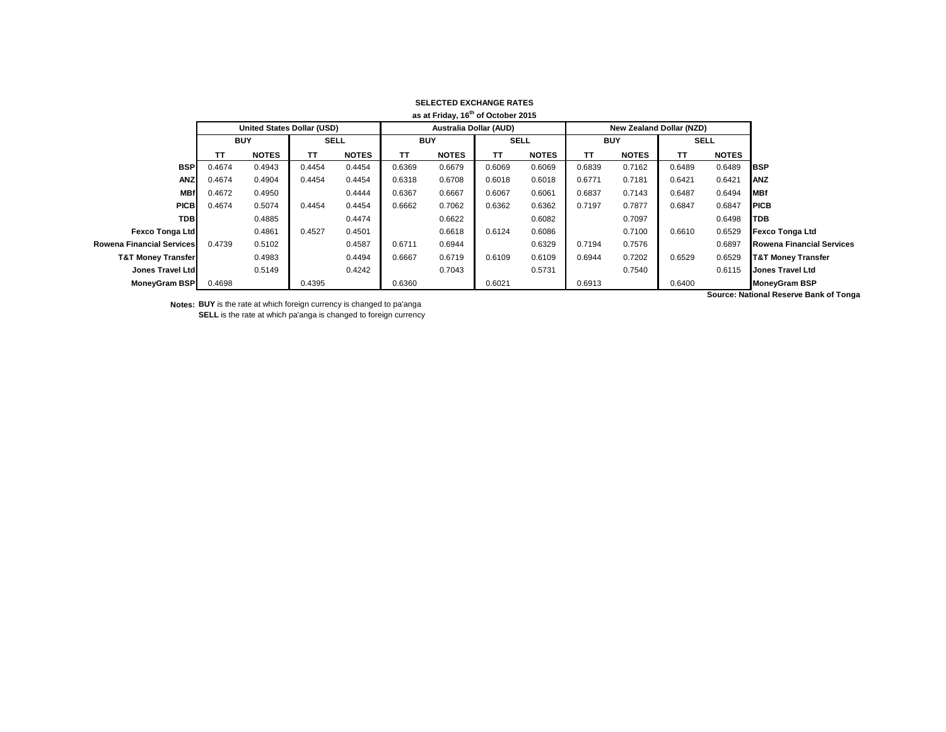| as at Friday, 16 <sup>th</sup> of October 2015 |            |                                   |             |              |                               |              |             |              |            |                                 |             |              |                                            |
|------------------------------------------------|------------|-----------------------------------|-------------|--------------|-------------------------------|--------------|-------------|--------------|------------|---------------------------------|-------------|--------------|--------------------------------------------|
|                                                |            | <b>United States Dollar (USD)</b> |             |              | <b>Australia Dollar (AUD)</b> |              |             |              |            | <b>New Zealand Dollar (NZD)</b> |             |              |                                            |
|                                                | <b>BUY</b> |                                   | <b>SELL</b> |              | <b>BUY</b>                    |              | <b>SELL</b> |              | <b>BUY</b> |                                 | <b>SELL</b> |              |                                            |
|                                                | ТΤ         | <b>NOTES</b>                      | TΤ          | <b>NOTES</b> | ТΤ                            | <b>NOTES</b> | TΤ          | <b>NOTES</b> | <b>TT</b>  | <b>NOTES</b>                    | TΤ          | <b>NOTES</b> |                                            |
| <b>BSP</b>                                     | 0.4674     | 0.4943                            | 0.4454      | 0.4454       | 0.6369                        | 0.6679       | 0.6069      | 0.6069       | 0.6839     | 0.7162                          | 0.6489      | 0.6489       | <b>BSP</b>                                 |
| <b>ANZ</b>                                     | 0.4674     | 0.4904                            | 0.4454      | 0.4454       | 0.6318                        | 0.6708       | 0.6018      | 0.6018       | 0.6771     | 0.7181                          | 0.6421      | 0.6421       | <b>ANZ</b>                                 |
| <b>MBf</b>                                     | 0.4672     | 0.4950                            |             | 0.4444       | 0.6367                        | 0.6667       | 0.6067      | 0.6061       | 0.6837     | 0.7143                          | 0.6487      | 0.6494       | <b>MBf</b>                                 |
| <b>PICB</b>                                    | 0.4674     | 0.5074                            | 0.4454      | 0.4454       | 0.6662                        | 0.7062       | 0.6362      | 0.6362       | 0.7197     | 0.7877                          | 0.6847      | 0.6847       | <b>PICB</b>                                |
| <b>TDB</b>                                     |            | 0.4885                            |             | 0.4474       |                               | 0.6622       |             | 0.6082       |            | 0.7097                          |             | 0.6498       | <b>TDB</b>                                 |
| <b>Fexco Tonga Ltd</b>                         |            | 0.4861                            | 0.4527      | 0.4501       |                               | 0.6618       | 0.6124      | 0.6086       |            | 0.7100                          | 0.6610      | 0.6529       | <b>Fexco Tonga Ltd</b>                     |
| Rowena Financial Services                      | 0.4739     | 0.5102                            |             | 0.4587       | 0.6711                        | 0.6944       |             | 0.6329       | 0.7194     | 0.7576                          |             | 0.6897       | <b>Rowena Financial Services</b>           |
| <b>T&amp;T Money Transfer</b>                  |            | 0.4983                            |             | 0.4494       | 0.6667                        | 0.6719       | 0.6109      | 0.6109       | 0.6944     | 0.7202                          | 0.6529      | 0.6529       | <b>T&amp;T Money Transfer</b>              |
| Jones Travel Ltd                               |            | 0.5149                            |             | 0.4242       |                               | 0.7043       |             | 0.5731       |            | 0.7540                          |             | 0.6115       | <b>Jones Travel Ltd</b>                    |
| MoneyGram BSP                                  | 0.4698     |                                   | 0.4395      |              | 0.6360                        |              | 0.6021      |              | 0.6913     |                                 | 0.6400      |              | <b>MoneyGram BSP</b>                       |
|                                                |            |                                   |             |              |                               |              |             |              |            |                                 |             |              | Correspondents of Departure Dept. of Topic |

**Notes: BUY** is the rate at which foreign currency is changed to pa'anga **SELL** is the rate at which pa'anga is changed to foreign currency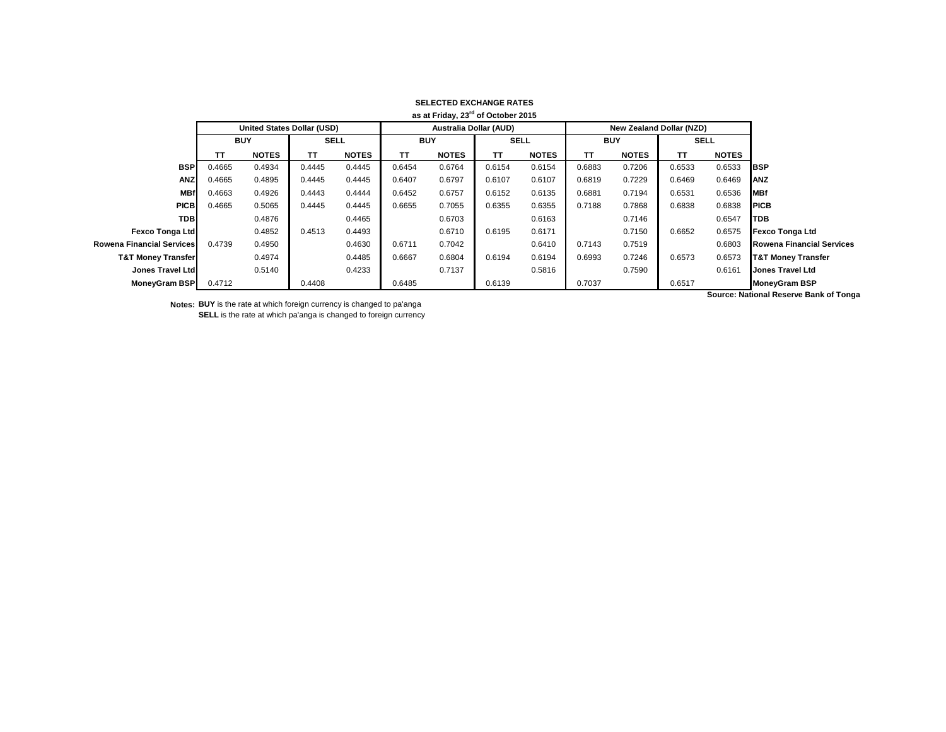|                               |                                   |              |             |              |                               | as at Friday, 23 <sup>rd</sup> of October 2015 |             |              |            |                                 |             |              |                                       |
|-------------------------------|-----------------------------------|--------------|-------------|--------------|-------------------------------|------------------------------------------------|-------------|--------------|------------|---------------------------------|-------------|--------------|---------------------------------------|
|                               | <b>United States Dollar (USD)</b> |              |             |              | <b>Australia Dollar (AUD)</b> |                                                |             |              |            | <b>New Zealand Dollar (NZD)</b> |             |              |                                       |
|                               | <b>BUY</b>                        |              | <b>SELL</b> |              | <b>BUY</b>                    |                                                | <b>SELL</b> |              | <b>BUY</b> |                                 | <b>SELL</b> |              |                                       |
|                               | TΤ                                | <b>NOTES</b> | TТ          | <b>NOTES</b> | ТΤ                            | <b>NOTES</b>                                   | TΤ          | <b>NOTES</b> | <b>TT</b>  | <b>NOTES</b>                    | TΤ          | <b>NOTES</b> |                                       |
| <b>BSP</b>                    | 0.4665                            | 0.4934       | 0.4445      | 0.4445       | 0.6454                        | 0.6764                                         | 0.6154      | 0.6154       | 0.6883     | 0.7206                          | 0.6533      | 0.6533       | <b>IBSP</b>                           |
| <b>ANZ</b>                    | 0.4665                            | 0.4895       | 0.4445      | 0.4445       | 0.6407                        | 0.6797                                         | 0.6107      | 0.6107       | 0.6819     | 0.7229                          | 0.6469      | 0.6469       | <b>ANZ</b>                            |
| <b>MBf</b>                    | 0.4663                            | 0.4926       | 0.4443      | 0.4444       | 0.6452                        | 0.6757                                         | 0.6152      | 0.6135       | 0.6881     | 0.7194                          | 0.6531      | 0.6536       | <b>MBf</b>                            |
| <b>PICB</b>                   | 0.4665                            | 0.5065       | 0.4445      | 0.4445       | 0.6655                        | 0.7055                                         | 0.6355      | 0.6355       | 0.7188     | 0.7868                          | 0.6838      | 0.6838       | <b>PICB</b>                           |
| <b>TDB</b>                    |                                   | 0.4876       |             | 0.4465       |                               | 0.6703                                         |             | 0.6163       |            | 0.7146                          |             | 0.6547       | <b>TDB</b>                            |
| <b>Fexco Tonga Ltd</b>        |                                   | 0.4852       | 0.4513      | 0.4493       |                               | 0.6710                                         | 0.6195      | 0.6171       |            | 0.7150                          | 0.6652      | 0.6575       | <b>Fexco Tonga Ltd</b>                |
| Rowena Financial Services     | 0.4739                            | 0.4950       |             | 0.4630       | 0.6711                        | 0.7042                                         |             | 0.6410       | 0.7143     | 0.7519                          |             | 0.6803       | <b>Rowena Financial Services</b>      |
| <b>T&amp;T Money Transfer</b> |                                   | 0.4974       |             | 0.4485       | 0.6667                        | 0.6804                                         | 0.6194      | 0.6194       | 0.6993     | 0.7246                          | 0.6573      | 0.6573       | <b>T&amp;T Money Transfer</b>         |
| Jones Travel Ltd              |                                   | 0.5140       |             | 0.4233       |                               | 0.7137                                         |             | 0.5816       |            | 0.7590                          |             | 0.6161       | <b>Jones Travel Ltd</b>               |
| <b>MoneyGram BSP</b>          | 0.4712                            |              | 0.4408      |              | 0.6485                        |                                                | 0.6139      |              | 0.7037     |                                 | 0.6517      |              | <b>MoneyGram BSP</b>                  |
|                               |                                   |              |             |              |                               |                                                |             |              |            |                                 |             |              | Course: Notional Deserve Bank of Tone |

**Notes: BUY** is the rate at which foreign currency is changed to pa'anga **SELL** is the rate at which pa'anga is changed to foreign currency